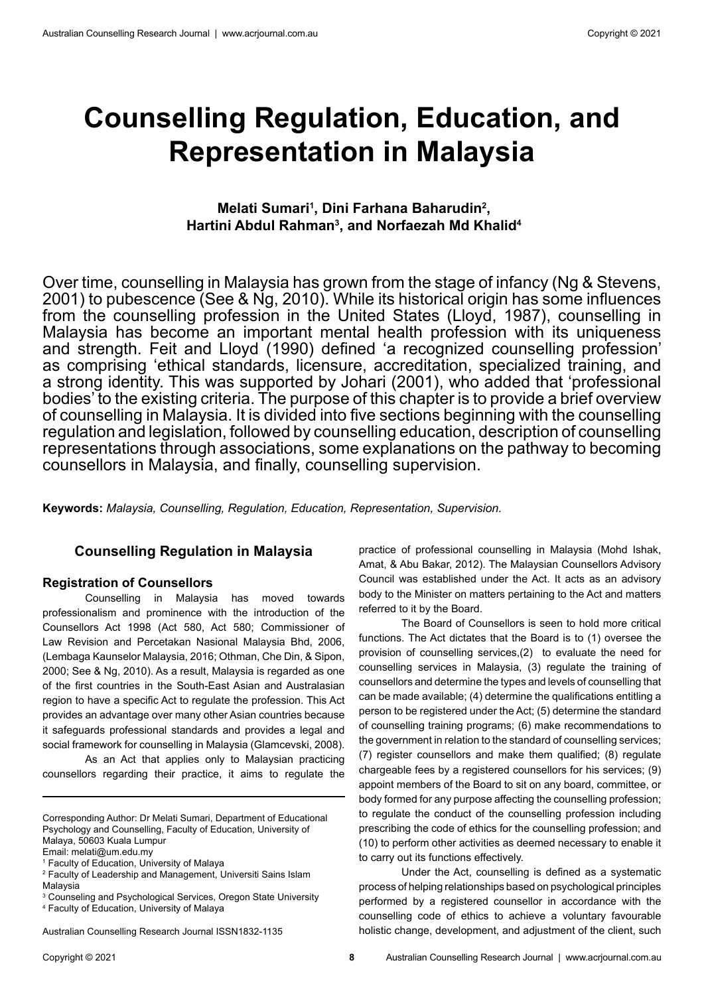# **Counselling Regulation, Education, and Representation in Malaysia**

# **Melati Sumari<sup>1</sup>, Dini Farhana Baharudin<sup>2</sup>, Hartini Abdul Rahman3 , and Norfaezah Md Khalid4**

Over time, counselling in Malaysia has grown from the stage of infancy (Ng & Stevens, 2001) to pubescence (See & Ng, 2010). While its historical origin has some influences from the counselling profession in the United States (Lloyd, 1987), counselling in Malaysia has become an important mental health profession with its uniqueness and strength. Feit and Lloyd (1990) defined 'a recognized counselling profession' as comprising 'ethical standards, licensure, accreditation, specialized training, and a strong identity. This was supported by Johari (2001), who added that 'professional bodies' to the existing criteria. The purpose of this chapter is to provide a brief overview of counselling in Malaysia. It is divided into five sections beginning with the counselling regulation and legislation, followed by counselling education, description of counselling representations through associations, some explanations on the pathway to becoming counsellors in Malaysia, and finally, counselling supervision.

**Keywords:** *Malaysia, Counselling, Regulation, Education, Representation, Supervision.*

## **Counselling Regulation in Malaysia**

#### **Registration of Counsellors**

Counselling in Malaysia has moved towards professionalism and prominence with the introduction of the Counsellors Act 1998 (Act 580, Act 580; Commissioner of Law Revision and Percetakan Nasional Malaysia Bhd, 2006, (Lembaga Kaunselor Malaysia, 2016; Othman, Che Din, & Sipon, 2000; See & Ng, 2010). As a result, Malaysia is regarded as one of the first countries in the South-East Asian and Australasian region to have a specific Act to regulate the profession. This Act provides an advantage over many other Asian countries because it safeguards professional standards and provides a legal and social framework for counselling in Malaysia (Glamcevski, 2008).

As an Act that applies only to Malaysian practicing counsellors regarding their practice, it aims to regulate the

Corresponding Author: Dr Melati Sumari, Department of Educational Psychology and Counselling, Faculty of Education, University of Malaya, 50603 Kuala Lumpur

Email: melati@um.edu.my

1 Faculty of Education, University of Malaya

Australian Counselling Research Journal ISSN1832-1135

practice of professional counselling in Malaysia (Mohd Ishak, Amat, & Abu Bakar, 2012). The Malaysian Counsellors Advisory Council was established under the Act. It acts as an advisory body to the Minister on matters pertaining to the Act and matters referred to it by the Board.

The Board of Counsellors is seen to hold more critical functions. The Act dictates that the Board is to (1) oversee the provision of counselling services,(2) to evaluate the need for counselling services in Malaysia, (3) regulate the training of counsellors and determine the types and levels of counselling that can be made available; (4) determine the qualifications entitling a person to be registered under the Act; (5) determine the standard of counselling training programs; (6) make recommendations to the government in relation to the standard of counselling services; (7) register counsellors and make them qualified; (8) regulate chargeable fees by a registered counsellors for his services; (9) appoint members of the Board to sit on any board, committee, or body formed for any purpose affecting the counselling profession; to regulate the conduct of the counselling profession including prescribing the code of ethics for the counselling profession; and (10) to perform other activities as deemed necessary to enable it to carry out its functions effectively.

Under the Act, counselling is defined as a systematic process of helping relationships based on psychological principles performed by a registered counsellor in accordance with the counselling code of ethics to achieve a voluntary favourable holistic change, development, and adjustment of the client, such

<sup>2</sup> Faculty of Leadership and Management, Universiti Sains Islam Malaysia

<sup>3</sup> Counseling and Psychological Services, Oregon State University 4 Faculty of Education, University of Malaya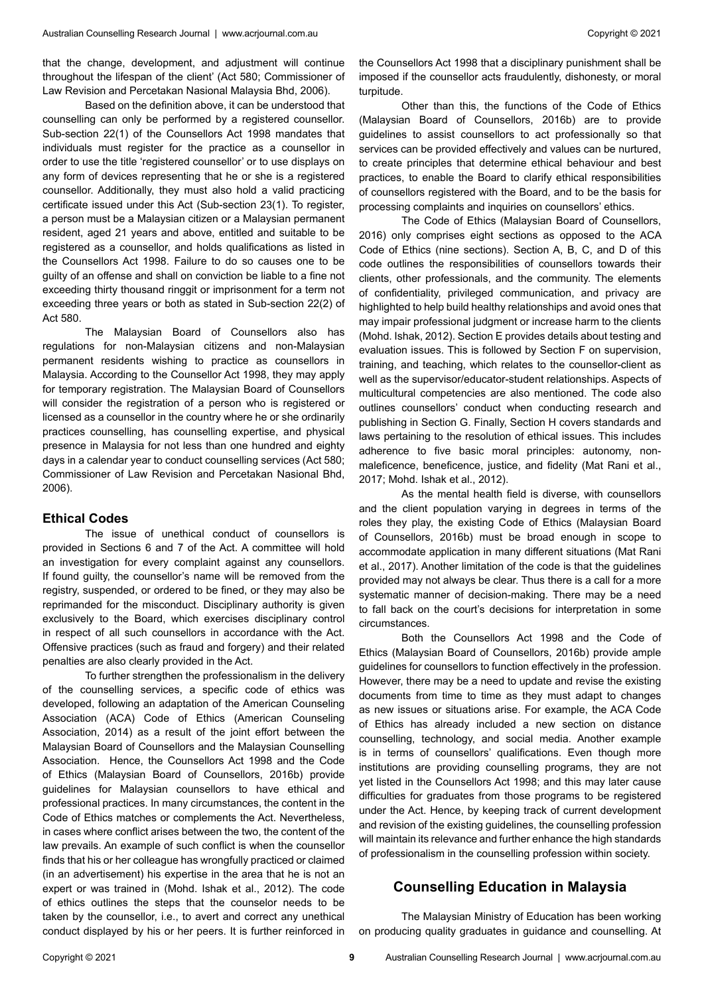that the change, development, and adjustment will continue throughout the lifespan of the client' (Act 580; Commissioner of Law Revision and Percetakan Nasional Malaysia Bhd, 2006).

Based on the definition above, it can be understood that counselling can only be performed by a registered counsellor. Sub-section 22(1) of the Counsellors Act 1998 mandates that individuals must register for the practice as a counsellor in order to use the title 'registered counsellor' or to use displays on any form of devices representing that he or she is a registered counsellor. Additionally, they must also hold a valid practicing certificate issued under this Act (Sub-section 23(1). To register, a person must be a Malaysian citizen or a Malaysian permanent resident, aged 21 years and above, entitled and suitable to be registered as a counsellor, and holds qualifications as listed in the Counsellors Act 1998. Failure to do so causes one to be guilty of an offense and shall on conviction be liable to a fine not exceeding thirty thousand ringgit or imprisonment for a term not exceeding three years or both as stated in Sub-section 22(2) of Act 580.

The Malaysian Board of Counsellors also has regulations for non-Malaysian citizens and non-Malaysian permanent residents wishing to practice as counsellors in Malaysia. According to the Counsellor Act 1998, they may apply for temporary registration. The Malaysian Board of Counsellors will consider the registration of a person who is registered or licensed as a counsellor in the country where he or she ordinarily practices counselling, has counselling expertise, and physical presence in Malaysia for not less than one hundred and eighty days in a calendar year to conduct counselling services (Act 580; Commissioner of Law Revision and Percetakan Nasional Bhd, 2006).

#### **Ethical Codes**

The issue of unethical conduct of counsellors is provided in Sections 6 and 7 of the Act. A committee will hold an investigation for every complaint against any counsellors. If found guilty, the counsellor's name will be removed from the registry, suspended, or ordered to be fined, or they may also be reprimanded for the misconduct. Disciplinary authority is given exclusively to the Board, which exercises disciplinary control in respect of all such counsellors in accordance with the Act. Offensive practices (such as fraud and forgery) and their related penalties are also clearly provided in the Act.

To further strengthen the professionalism in the delivery of the counselling services, a specific code of ethics was developed, following an adaptation of the American Counseling Association (ACA) Code of Ethics (American Counseling Association, 2014) as a result of the joint effort between the Malaysian Board of Counsellors and the Malaysian Counselling Association. Hence, the Counsellors Act 1998 and the Code of Ethics (Malaysian Board of Counsellors, 2016b) provide guidelines for Malaysian counsellors to have ethical and professional practices. In many circumstances, the content in the Code of Ethics matches or complements the Act. Nevertheless, in cases where conflict arises between the two, the content of the law prevails. An example of such conflict is when the counsellor finds that his or her colleague has wrongfully practiced or claimed (in an advertisement) his expertise in the area that he is not an expert or was trained in (Mohd. Ishak et al., 2012). The code of ethics outlines the steps that the counselor needs to be taken by the counsellor, i.e., to avert and correct any unethical conduct displayed by his or her peers. It is further reinforced in the Counsellors Act 1998 that a disciplinary punishment shall be imposed if the counsellor acts fraudulently, dishonesty, or moral turpitude.

Other than this, the functions of the Code of Ethics (Malaysian Board of Counsellors, 2016b) are to provide guidelines to assist counsellors to act professionally so that services can be provided effectively and values can be nurtured, to create principles that determine ethical behaviour and best practices, to enable the Board to clarify ethical responsibilities of counsellors registered with the Board, and to be the basis for processing complaints and inquiries on counsellors' ethics.

The Code of Ethics (Malaysian Board of Counsellors, 2016) only comprises eight sections as opposed to the ACA Code of Ethics (nine sections). Section A, B, C, and D of this code outlines the responsibilities of counsellors towards their clients, other professionals, and the community. The elements of confidentiality, privileged communication, and privacy are highlighted to help build healthy relationships and avoid ones that may impair professional judgment or increase harm to the clients (Mohd. Ishak, 2012). Section E provides details about testing and evaluation issues. This is followed by Section F on supervision, training, and teaching, which relates to the counsellor-client as well as the supervisor/educator-student relationships. Aspects of multicultural competencies are also mentioned. The code also outlines counsellors' conduct when conducting research and publishing in Section G. Finally, Section H covers standards and laws pertaining to the resolution of ethical issues. This includes adherence to five basic moral principles: autonomy, nonmaleficence, beneficence, justice, and fidelity (Mat Rani et al., 2017; Mohd. Ishak et al., 2012).

As the mental health field is diverse, with counsellors and the client population varying in degrees in terms of the roles they play, the existing Code of Ethics (Malaysian Board of Counsellors, 2016b) must be broad enough in scope to accommodate application in many different situations (Mat Rani et al., 2017). Another limitation of the code is that the guidelines provided may not always be clear. Thus there is a call for a more systematic manner of decision-making. There may be a need to fall back on the court's decisions for interpretation in some circumstances.

Both the Counsellors Act 1998 and the Code of Ethics (Malaysian Board of Counsellors, 2016b) provide ample guidelines for counsellors to function effectively in the profession. However, there may be a need to update and revise the existing documents from time to time as they must adapt to changes as new issues or situations arise. For example, the ACA Code of Ethics has already included a new section on distance counselling, technology, and social media. Another example is in terms of counsellors' qualifications. Even though more institutions are providing counselling programs, they are not yet listed in the Counsellors Act 1998; and this may later cause difficulties for graduates from those programs to be registered under the Act. Hence, by keeping track of current development and revision of the existing guidelines, the counselling profession will maintain its relevance and further enhance the high standards of professionalism in the counselling profession within society.

## **Counselling Education in Malaysia**

The Malaysian Ministry of Education has been working on producing quality graduates in guidance and counselling. At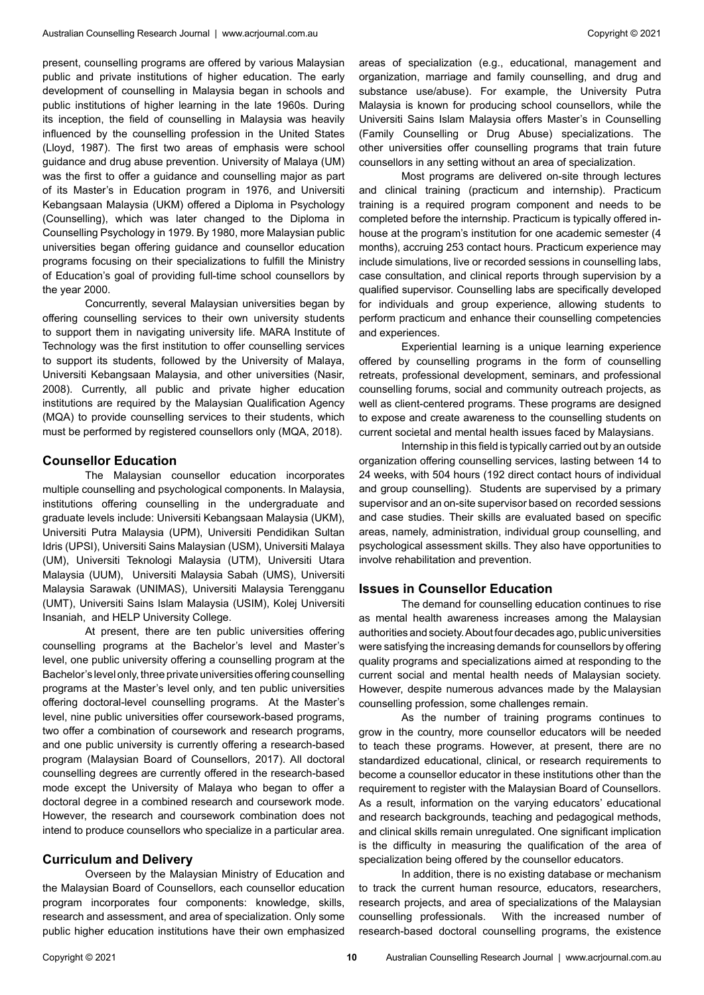present, counselling programs are offered by various Malaysian public and private institutions of higher education. The early development of counselling in Malaysia began in schools and public institutions of higher learning in the late 1960s. During its inception, the field of counselling in Malaysia was heavily influenced by the counselling profession in the United States (Lloyd, 1987). The first two areas of emphasis were school guidance and drug abuse prevention. University of Malaya (UM) was the first to offer a guidance and counselling major as part of its Master's in Education program in 1976, and Universiti Kebangsaan Malaysia (UKM) offered a Diploma in Psychology (Counselling), which was later changed to the Diploma in Counselling Psychology in 1979. By 1980, more Malaysian public universities began offering guidance and counsellor education programs focusing on their specializations to fulfill the Ministry of Education's goal of providing full-time school counsellors by the year 2000.

Concurrently, several Malaysian universities began by offering counselling services to their own university students to support them in navigating university life. MARA Institute of Technology was the first institution to offer counselling services to support its students, followed by the University of Malaya, Universiti Kebangsaan Malaysia, and other universities (Nasir, 2008). Currently, all public and private higher education institutions are required by the Malaysian Qualification Agency (MQA) to provide counselling services to their students, which must be performed by registered counsellors only (MQA, 2018).

#### **Counsellor Education**

The Malaysian counsellor education incorporates multiple counselling and psychological components. In Malaysia, institutions offering counselling in the undergraduate and graduate levels include: Universiti Kebangsaan Malaysia (UKM), Universiti Putra Malaysia (UPM), Universiti Pendidikan Sultan Idris (UPSI), Universiti Sains Malaysian (USM), Universiti Malaya (UM), Universiti Teknologi Malaysia (UTM), Universiti Utara Malaysia (UUM), Universiti Malaysia Sabah (UMS), Universiti Malaysia Sarawak (UNIMAS), Universiti Malaysia Terengganu (UMT), Universiti Sains Islam Malaysia (USIM), Kolej Universiti Insaniah, and HELP University College.

At present, there are ten public universities offering counselling programs at the Bachelor's level and Master's level, one public university offering a counselling program at the Bachelor's level only, three private universities offering counselling programs at the Master's level only, and ten public universities offering doctoral-level counselling programs. At the Master's level, nine public universities offer coursework-based programs, two offer a combination of coursework and research programs, and one public university is currently offering a research-based program (Malaysian Board of Counsellors, 2017). All doctoral counselling degrees are currently offered in the research-based mode except the University of Malaya who began to offer a doctoral degree in a combined research and coursework mode. However, the research and coursework combination does not intend to produce counsellors who specialize in a particular area.

#### **Curriculum and Delivery**

Overseen by the Malaysian Ministry of Education and the Malaysian Board of Counsellors, each counsellor education program incorporates four components: knowledge, skills, research and assessment, and area of specialization. Only some public higher education institutions have their own emphasized areas of specialization (e.g., educational, management and organization, marriage and family counselling, and drug and substance use/abuse). For example, the University Putra Malaysia is known for producing school counsellors, while the Universiti Sains Islam Malaysia offers Master's in Counselling (Family Counselling or Drug Abuse) specializations. The other universities offer counselling programs that train future counsellors in any setting without an area of specialization.

Most programs are delivered on-site through lectures and clinical training (practicum and internship). Practicum training is a required program component and needs to be completed before the internship. Practicum is typically offered inhouse at the program's institution for one academic semester (4 months), accruing 253 contact hours. Practicum experience may include simulations, live or recorded sessions in counselling labs, case consultation, and clinical reports through supervision by a qualified supervisor. Counselling labs are specifically developed for individuals and group experience, allowing students to perform practicum and enhance their counselling competencies and experiences.

Experiential learning is a unique learning experience offered by counselling programs in the form of counselling retreats, professional development, seminars, and professional counselling forums, social and community outreach projects, as well as client-centered programs. These programs are designed to expose and create awareness to the counselling students on current societal and mental health issues faced by Malaysians.

Internship in this field is typically carried out by an outside organization offering counselling services, lasting between 14 to 24 weeks, with 504 hours (192 direct contact hours of individual and group counselling). Students are supervised by a primary supervisor and an on-site supervisor based on recorded sessions and case studies. Their skills are evaluated based on specific areas, namely, administration, individual group counselling, and psychological assessment skills. They also have opportunities to involve rehabilitation and prevention.

#### **Issues in Counsellor Education**

The demand for counselling education continues to rise as mental health awareness increases among the Malaysian authorities and society. About four decades ago, public universities were satisfying the increasing demands for counsellors by offering quality programs and specializations aimed at responding to the current social and mental health needs of Malaysian society. However, despite numerous advances made by the Malaysian counselling profession, some challenges remain.

As the number of training programs continues to grow in the country, more counsellor educators will be needed to teach these programs. However, at present, there are no standardized educational, clinical, or research requirements to become a counsellor educator in these institutions other than the requirement to register with the Malaysian Board of Counsellors. As a result, information on the varying educators' educational and research backgrounds, teaching and pedagogical methods, and clinical skills remain unregulated. One significant implication is the difficulty in measuring the qualification of the area of specialization being offered by the counsellor educators.

In addition, there is no existing database or mechanism to track the current human resource, educators, researchers, research projects, and area of specializations of the Malaysian counselling professionals. With the increased number of research-based doctoral counselling programs, the existence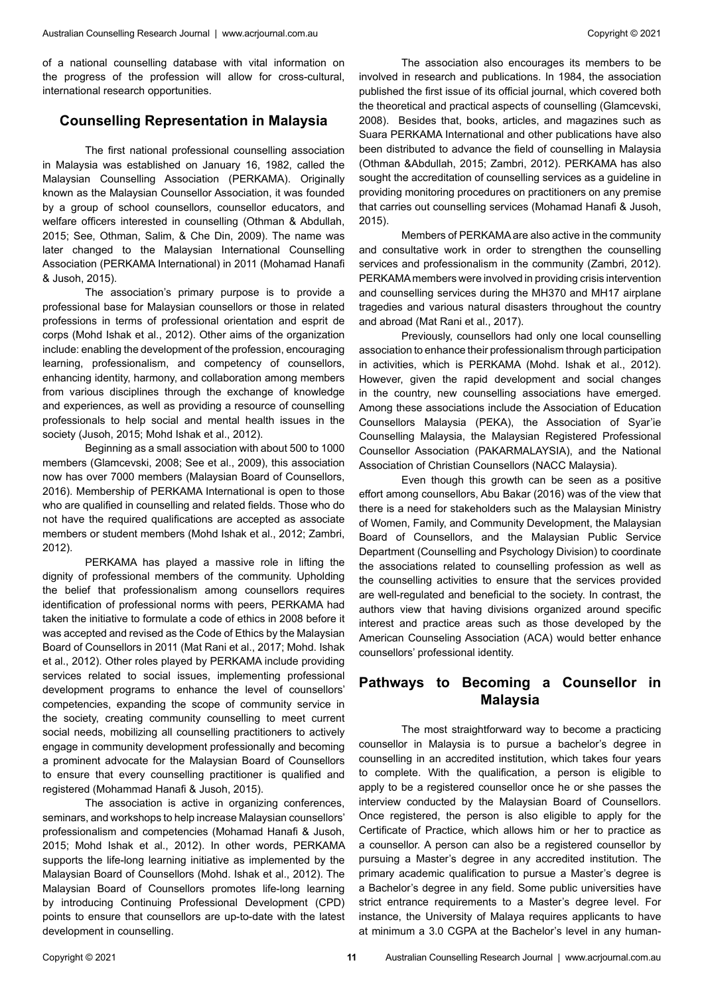## **Counselling Representation in Malaysia**

The first national professional counselling association in Malaysia was established on January 16, 1982, called the Malaysian Counselling Association (PERKAMA). Originally known as the Malaysian Counsellor Association, it was founded by a group of school counsellors, counsellor educators, and welfare officers interested in counselling (Othman & Abdullah, 2015; See, Othman, Salim, & Che Din, 2009). The name was later changed to the Malaysian International Counselling Association (PERKAMA International) in 2011 (Mohamad Hanafi & Jusoh, 2015).

The association's primary purpose is to provide a professional base for Malaysian counsellors or those in related professions in terms of professional orientation and esprit de corps (Mohd Ishak et al., 2012). Other aims of the organization include: enabling the development of the profession, encouraging learning, professionalism, and competency of counsellors, enhancing identity, harmony, and collaboration among members from various disciplines through the exchange of knowledge and experiences, as well as providing a resource of counselling professionals to help social and mental health issues in the society (Jusoh, 2015; Mohd Ishak et al., 2012).

Beginning as a small association with about 500 to 1000 members (Glamcevski, 2008; See et al., 2009), this association now has over 7000 members (Malaysian Board of Counsellors, 2016). Membership of PERKAMA International is open to those who are qualified in counselling and related fields. Those who do not have the required qualifications are accepted as associate members or student members (Mohd Ishak et al., 2012; Zambri, 2012).

PERKAMA has played a massive role in lifting the dignity of professional members of the community. Upholding the belief that professionalism among counsellors requires identification of professional norms with peers, PERKAMA had taken the initiative to formulate a code of ethics in 2008 before it was accepted and revised as the Code of Ethics by the Malaysian Board of Counsellors in 2011 (Mat Rani et al., 2017; Mohd. Ishak et al., 2012). Other roles played by PERKAMA include providing services related to social issues, implementing professional development programs to enhance the level of counsellors' competencies, expanding the scope of community service in the society, creating community counselling to meet current social needs, mobilizing all counselling practitioners to actively engage in community development professionally and becoming a prominent advocate for the Malaysian Board of Counsellors to ensure that every counselling practitioner is qualified and registered (Mohammad Hanafi & Jusoh, 2015).

The association is active in organizing conferences, seminars, and workshops to help increase Malaysian counsellors' professionalism and competencies (Mohamad Hanafi & Jusoh, 2015; Mohd Ishak et al., 2012). In other words, PERKAMA supports the life-long learning initiative as implemented by the Malaysian Board of Counsellors (Mohd. Ishak et al., 2012). The Malaysian Board of Counsellors promotes life-long learning by introducing Continuing Professional Development (CPD) points to ensure that counsellors are up-to-date with the latest development in counselling.

The association also encourages its members to be involved in research and publications. In 1984, the association published the first issue of its official journal, which covered both the theoretical and practical aspects of counselling (Glamcevski, 2008). Besides that, books, articles, and magazines such as Suara PERKAMA International and other publications have also been distributed to advance the field of counselling in Malaysia (Othman &Abdullah, 2015; Zambri, 2012). PERKAMA has also sought the accreditation of counselling services as a guideline in providing monitoring procedures on practitioners on any premise that carries out counselling services (Mohamad Hanafi & Jusoh, 2015).

Members of PERKAMA are also active in the community and consultative work in order to strengthen the counselling services and professionalism in the community (Zambri, 2012). PERKAMA members were involved in providing crisis intervention and counselling services during the MH370 and MH17 airplane tragedies and various natural disasters throughout the country and abroad (Mat Rani et al., 2017).

Previously, counsellors had only one local counselling association to enhance their professionalism through participation in activities, which is PERKAMA (Mohd. Ishak et al., 2012). However, given the rapid development and social changes in the country, new counselling associations have emerged. Among these associations include the Association of Education Counsellors Malaysia (PEKA), the Association of Syar'ie Counselling Malaysia, the Malaysian Registered Professional Counsellor Association (PAKARMALAYSIA), and the National Association of Christian Counsellors (NACC Malaysia).

Even though this growth can be seen as a positive effort among counsellors, Abu Bakar (2016) was of the view that there is a need for stakeholders such as the Malaysian Ministry of Women, Family, and Community Development, the Malaysian Board of Counsellors, and the Malaysian Public Service Department (Counselling and Psychology Division) to coordinate the associations related to counselling profession as well as the counselling activities to ensure that the services provided are well-regulated and beneficial to the society. In contrast, the authors view that having divisions organized around specific interest and practice areas such as those developed by the American Counseling Association (ACA) would better enhance counsellors' professional identity.

# **Pathways to Becoming a Counsellor in Malaysia**

The most straightforward way to become a practicing counsellor in Malaysia is to pursue a bachelor's degree in counselling in an accredited institution, which takes four years to complete. With the qualification, a person is eligible to apply to be a registered counsellor once he or she passes the interview conducted by the Malaysian Board of Counsellors. Once registered, the person is also eligible to apply for the Certificate of Practice, which allows him or her to practice as a counsellor. A person can also be a registered counsellor by pursuing a Master's degree in any accredited institution. The primary academic qualification to pursue a Master's degree is a Bachelor's degree in any field. Some public universities have strict entrance requirements to a Master's degree level. For instance, the University of Malaya requires applicants to have at minimum a 3.0 CGPA at the Bachelor's level in any human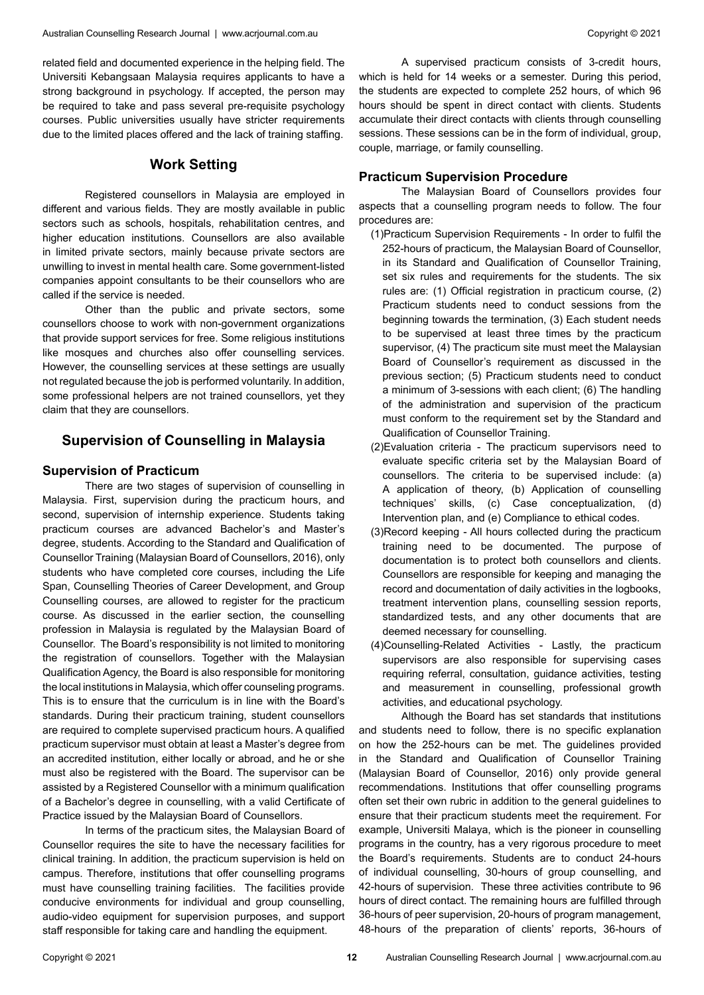related field and documented experience in the helping field. The Universiti Kebangsaan Malaysia requires applicants to have a strong background in psychology. If accepted, the person may be required to take and pass several pre-requisite psychology courses. Public universities usually have stricter requirements due to the limited places offered and the lack of training staffing.

## **Work Setting**

Registered counsellors in Malaysia are employed in different and various fields. They are mostly available in public sectors such as schools, hospitals, rehabilitation centres, and higher education institutions. Counsellors are also available in limited private sectors, mainly because private sectors are unwilling to invest in mental health care. Some government-listed companies appoint consultants to be their counsellors who are called if the service is needed.

Other than the public and private sectors, some counsellors choose to work with non-government organizations that provide support services for free. Some religious institutions like mosques and churches also offer counselling services. However, the counselling services at these settings are usually not regulated because the job is performed voluntarily. In addition, some professional helpers are not trained counsellors, yet they claim that they are counsellors.

# **Supervision of Counselling in Malaysia**

## **Supervision of Practicum**

There are two stages of supervision of counselling in Malaysia. First, supervision during the practicum hours, and second, supervision of internship experience. Students taking practicum courses are advanced Bachelor's and Master's degree, students. According to the Standard and Qualification of Counsellor Training (Malaysian Board of Counsellors, 2016), only students who have completed core courses, including the Life Span, Counselling Theories of Career Development, and Group Counselling courses, are allowed to register for the practicum course. As discussed in the earlier section, the counselling profession in Malaysia is regulated by the Malaysian Board of Counsellor. The Board's responsibility is not limited to monitoring the registration of counsellors. Together with the Malaysian Qualification Agency, the Board is also responsible for monitoring the local institutions in Malaysia, which offer counseling programs. This is to ensure that the curriculum is in line with the Board's standards. During their practicum training, student counsellors are required to complete supervised practicum hours. A qualified practicum supervisor must obtain at least a Master's degree from an accredited institution, either locally or abroad, and he or she must also be registered with the Board. The supervisor can be assisted by a Registered Counsellor with a minimum qualification of a Bachelor's degree in counselling, with a valid Certificate of Practice issued by the Malaysian Board of Counsellors.

In terms of the practicum sites, the Malaysian Board of Counsellor requires the site to have the necessary facilities for clinical training. In addition, the practicum supervision is held on campus. Therefore, institutions that offer counselling programs must have counselling training facilities. The facilities provide conducive environments for individual and group counselling, audio-video equipment for supervision purposes, and support staff responsible for taking care and handling the equipment.

A supervised practicum consists of 3-credit hours, which is held for 14 weeks or a semester. During this period, the students are expected to complete 252 hours, of which 96 hours should be spent in direct contact with clients. Students accumulate their direct contacts with clients through counselling sessions. These sessions can be in the form of individual, group, couple, marriage, or family counselling.

## **Practicum Supervision Procedure**

The Malaysian Board of Counsellors provides four aspects that a counselling program needs to follow. The four procedures are:

- (1)Practicum Supervision Requirements In order to fulfil the 252-hours of practicum, the Malaysian Board of Counsellor, in its Standard and Qualification of Counsellor Training, set six rules and requirements for the students. The six rules are: (1) Official registration in practicum course, (2) Practicum students need to conduct sessions from the beginning towards the termination, (3) Each student needs to be supervised at least three times by the practicum supervisor, (4) The practicum site must meet the Malaysian Board of Counsellor's requirement as discussed in the previous section; (5) Practicum students need to conduct a minimum of 3-sessions with each client; (6) The handling of the administration and supervision of the practicum must conform to the requirement set by the Standard and Qualification of Counsellor Training.
- (2)Evaluation criteria The practicum supervisors need to evaluate specific criteria set by the Malaysian Board of counsellors. The criteria to be supervised include: (a) A application of theory, (b) Application of counselling techniques' skills, (c) Case conceptualization, (d) Intervention plan, and (e) Compliance to ethical codes.
- (3)Record keeping All hours collected during the practicum training need to be documented. The purpose of documentation is to protect both counsellors and clients. Counsellors are responsible for keeping and managing the record and documentation of daily activities in the logbooks, treatment intervention plans, counselling session reports, standardized tests, and any other documents that are deemed necessary for counselling.
- (4)Counselling-Related Activities Lastly, the practicum supervisors are also responsible for supervising cases requiring referral, consultation, guidance activities, testing and measurement in counselling, professional growth activities, and educational psychology.

Although the Board has set standards that institutions and students need to follow, there is no specific explanation on how the 252-hours can be met. The guidelines provided in the Standard and Qualification of Counsellor Training (Malaysian Board of Counsellor, 2016) only provide general recommendations. Institutions that offer counselling programs often set their own rubric in addition to the general guidelines to ensure that their practicum students meet the requirement. For example, Universiti Malaya, which is the pioneer in counselling programs in the country, has a very rigorous procedure to meet the Board's requirements. Students are to conduct 24-hours of individual counselling, 30-hours of group counselling, and 42-hours of supervision. These three activities contribute to 96 hours of direct contact. The remaining hours are fulfilled through 36-hours of peer supervision, 20-hours of program management, 48-hours of the preparation of clients' reports, 36-hours of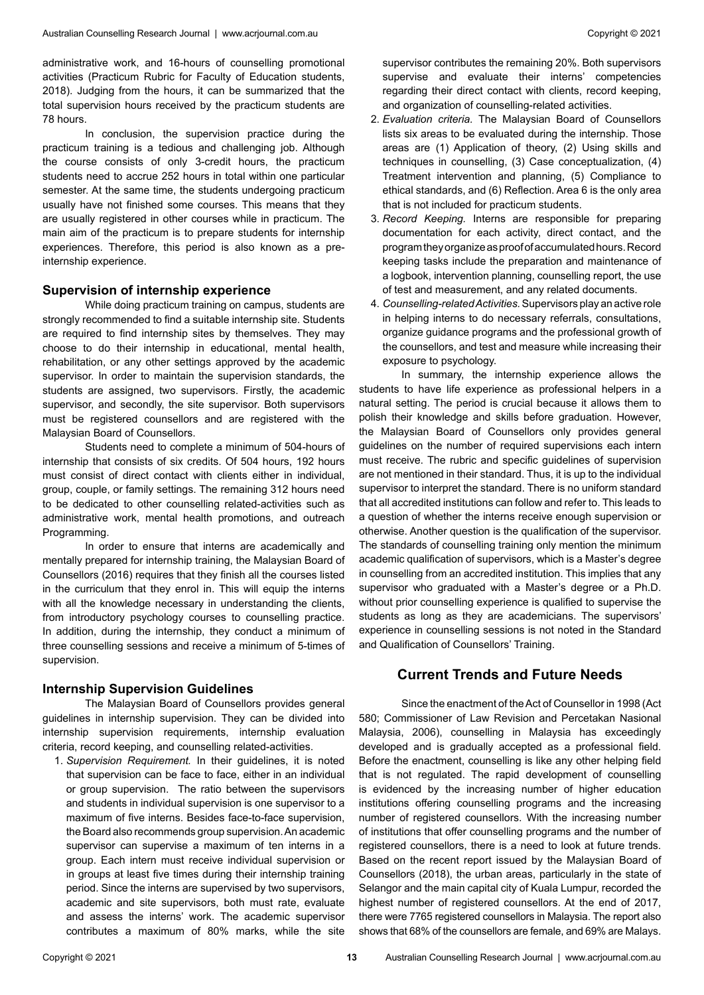administrative work, and 16-hours of counselling promotional activities (Practicum Rubric for Faculty of Education students, 2018). Judging from the hours, it can be summarized that the total supervision hours received by the practicum students are 78 hours.

In conclusion, the supervision practice during the practicum training is a tedious and challenging job. Although the course consists of only 3-credit hours, the practicum students need to accrue 252 hours in total within one particular semester. At the same time, the students undergoing practicum usually have not finished some courses. This means that they are usually registered in other courses while in practicum. The main aim of the practicum is to prepare students for internship experiences. Therefore, this period is also known as a preinternship experience.

## **Supervision of internship experience**

While doing practicum training on campus, students are strongly recommended to find a suitable internship site. Students are required to find internship sites by themselves. They may choose to do their internship in educational, mental health, rehabilitation, or any other settings approved by the academic supervisor. In order to maintain the supervision standards, the students are assigned, two supervisors. Firstly, the academic supervisor, and secondly, the site supervisor. Both supervisors must be registered counsellors and are registered with the Malaysian Board of Counsellors.

Students need to complete a minimum of 504-hours of internship that consists of six credits. Of 504 hours, 192 hours must consist of direct contact with clients either in individual, group, couple, or family settings. The remaining 312 hours need to be dedicated to other counselling related-activities such as administrative work, mental health promotions, and outreach Programming.

In order to ensure that interns are academically and mentally prepared for internship training, the Malaysian Board of Counsellors (2016) requires that they finish all the courses listed in the curriculum that they enrol in. This will equip the interns with all the knowledge necessary in understanding the clients, from introductory psychology courses to counselling practice. In addition, during the internship, they conduct a minimum of three counselling sessions and receive a minimum of 5-times of supervision.

#### **Internship Supervision Guidelines**

The Malaysian Board of Counsellors provides general guidelines in internship supervision. They can be divided into internship supervision requirements, internship evaluation criteria, record keeping, and counselling related-activities.

1. *Supervision Requirement.* In their guidelines, it is noted that supervision can be face to face, either in an individual or group supervision. The ratio between the supervisors and students in individual supervision is one supervisor to a maximum of five interns. Besides face-to-face supervision, the Board also recommends group supervision. An academic supervisor can supervise a maximum of ten interns in a group. Each intern must receive individual supervision or in groups at least five times during their internship training period. Since the interns are supervised by two supervisors, academic and site supervisors, both must rate, evaluate and assess the interns' work. The academic supervisor contributes a maximum of 80% marks, while the site

supervisor contributes the remaining 20%. Both supervisors supervise and evaluate their interns' competencies regarding their direct contact with clients, record keeping, and organization of counselling-related activities.

- 2. *Evaluation criteria.* The Malaysian Board of Counsellors lists six areas to be evaluated during the internship. Those areas are (1) Application of theory, (2) Using skills and techniques in counselling, (3) Case conceptualization, (4) Treatment intervention and planning, (5) Compliance to ethical standards, and (6) Reflection. Area 6 is the only area that is not included for practicum students.
- 3. *Record Keeping.* Interns are responsible for preparing documentation for each activity, direct contact, and the program they organize as proof of accumulated hours. Record keeping tasks include the preparation and maintenance of a logbook, intervention planning, counselling report, the use of test and measurement, and any related documents.
- 4. *Counselling-related Activities.* Supervisors play an active role in helping interns to do necessary referrals, consultations, organize guidance programs and the professional growth of the counsellors, and test and measure while increasing their exposure to psychology.

In summary, the internship experience allows the students to have life experience as professional helpers in a natural setting. The period is crucial because it allows them to polish their knowledge and skills before graduation. However, the Malaysian Board of Counsellors only provides general guidelines on the number of required supervisions each intern must receive. The rubric and specific guidelines of supervision are not mentioned in their standard. Thus, it is up to the individual supervisor to interpret the standard. There is no uniform standard that all accredited institutions can follow and refer to. This leads to a question of whether the interns receive enough supervision or otherwise. Another question is the qualification of the supervisor. The standards of counselling training only mention the minimum academic qualification of supervisors, which is a Master's degree in counselling from an accredited institution. This implies that any supervisor who graduated with a Master's degree or a Ph.D. without prior counselling experience is qualified to supervise the students as long as they are academicians. The supervisors' experience in counselling sessions is not noted in the Standard and Qualification of Counsellors' Training.

# **Current Trends and Future Needs**

Since the enactment of the Act of Counsellor in 1998 (Act 580; Commissioner of Law Revision and Percetakan Nasional Malaysia, 2006), counselling in Malaysia has exceedingly developed and is gradually accepted as a professional field. Before the enactment, counselling is like any other helping field that is not regulated. The rapid development of counselling is evidenced by the increasing number of higher education institutions offering counselling programs and the increasing number of registered counsellors. With the increasing number of institutions that offer counselling programs and the number of registered counsellors, there is a need to look at future trends. Based on the recent report issued by the Malaysian Board of Counsellors (2018), the urban areas, particularly in the state of Selangor and the main capital city of Kuala Lumpur, recorded the highest number of registered counsellors. At the end of 2017, there were 7765 registered counsellors in Malaysia. The report also shows that 68% of the counsellors are female, and 69% are Malays.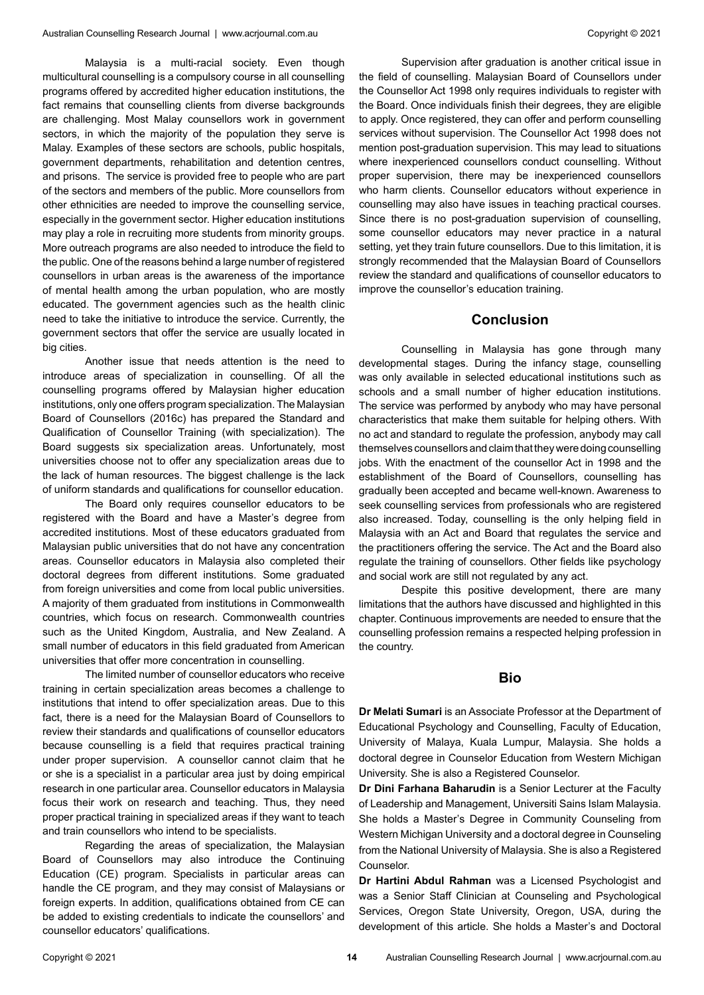Malaysia is a multi-racial society. Even though multicultural counselling is a compulsory course in all counselling programs offered by accredited higher education institutions, the fact remains that counselling clients from diverse backgrounds are challenging. Most Malay counsellors work in government sectors, in which the majority of the population they serve is Malay. Examples of these sectors are schools, public hospitals, government departments, rehabilitation and detention centres, and prisons. The service is provided free to people who are part of the sectors and members of the public. More counsellors from other ethnicities are needed to improve the counselling service, especially in the government sector. Higher education institutions may play a role in recruiting more students from minority groups. More outreach programs are also needed to introduce the field to the public. One of the reasons behind a large number of registered counsellors in urban areas is the awareness of the importance of mental health among the urban population, who are mostly educated. The government agencies such as the health clinic need to take the initiative to introduce the service. Currently, the government sectors that offer the service are usually located in big cities.

Another issue that needs attention is the need to introduce areas of specialization in counselling. Of all the counselling programs offered by Malaysian higher education institutions, only one offers program specialization. The Malaysian Board of Counsellors (2016c) has prepared the Standard and Qualification of Counsellor Training (with specialization). The Board suggests six specialization areas. Unfortunately, most universities choose not to offer any specialization areas due to the lack of human resources. The biggest challenge is the lack of uniform standards and qualifications for counsellor education.

The Board only requires counsellor educators to be registered with the Board and have a Master's degree from accredited institutions. Most of these educators graduated from Malaysian public universities that do not have any concentration areas. Counsellor educators in Malaysia also completed their doctoral degrees from different institutions. Some graduated from foreign universities and come from local public universities. A majority of them graduated from institutions in Commonwealth countries, which focus on research. Commonwealth countries such as the United Kingdom, Australia, and New Zealand. A small number of educators in this field graduated from American universities that offer more concentration in counselling.

The limited number of counsellor educators who receive training in certain specialization areas becomes a challenge to institutions that intend to offer specialization areas. Due to this fact, there is a need for the Malaysian Board of Counsellors to review their standards and qualifications of counsellor educators because counselling is a field that requires practical training under proper supervision. A counsellor cannot claim that he or she is a specialist in a particular area just by doing empirical research in one particular area. Counsellor educators in Malaysia focus their work on research and teaching. Thus, they need proper practical training in specialized areas if they want to teach and train counsellors who intend to be specialists.

Regarding the areas of specialization, the Malaysian Board of Counsellors may also introduce the Continuing Education (CE) program. Specialists in particular areas can handle the CE program, and they may consist of Malaysians or foreign experts. In addition, qualifications obtained from CE can be added to existing credentials to indicate the counsellors' and counsellor educators' qualifications.

Supervision after graduation is another critical issue in the field of counselling. Malaysian Board of Counsellors under the Counsellor Act 1998 only requires individuals to register with the Board. Once individuals finish their degrees, they are eligible to apply. Once registered, they can offer and perform counselling services without supervision. The Counsellor Act 1998 does not mention post-graduation supervision. This may lead to situations where inexperienced counsellors conduct counselling. Without proper supervision, there may be inexperienced counsellors who harm clients. Counsellor educators without experience in counselling may also have issues in teaching practical courses. Since there is no post-graduation supervision of counselling, some counsellor educators may never practice in a natural setting, yet they train future counsellors. Due to this limitation, it is strongly recommended that the Malaysian Board of Counsellors review the standard and qualifications of counsellor educators to improve the counsellor's education training.

## **Conclusion**

Counselling in Malaysia has gone through many developmental stages. During the infancy stage, counselling was only available in selected educational institutions such as schools and a small number of higher education institutions. The service was performed by anybody who may have personal characteristics that make them suitable for helping others. With no act and standard to regulate the profession, anybody may call themselves counsellors and claim that they were doing counselling jobs. With the enactment of the counsellor Act in 1998 and the establishment of the Board of Counsellors, counselling has gradually been accepted and became well-known. Awareness to seek counselling services from professionals who are registered also increased. Today, counselling is the only helping field in Malaysia with an Act and Board that regulates the service and the practitioners offering the service. The Act and the Board also regulate the training of counsellors. Other fields like psychology and social work are still not regulated by any act.

Despite this positive development, there are many limitations that the authors have discussed and highlighted in this chapter. Continuous improvements are needed to ensure that the counselling profession remains a respected helping profession in the country.

## **Bio**

**Dr Melati Sumari** is an Associate Professor at the Department of Educational Psychology and Counselling, Faculty of Education, University of Malaya, Kuala Lumpur, Malaysia. She holds a doctoral degree in Counselor Education from Western Michigan University. She is also a Registered Counselor.

**Dr Dini Farhana Baharudin** is a Senior Lecturer at the Faculty of Leadership and Management, Universiti Sains Islam Malaysia. She holds a Master's Degree in Community Counseling from Western Michigan University and a doctoral degree in Counseling from the National University of Malaysia. She is also a Registered Counselor.

**Dr Hartini Abdul Rahman** was a Licensed Psychologist and was a Senior Staff Clinician at Counseling and Psychological Services, Oregon State University, Oregon, USA, during the development of this article. She holds a Master's and Doctoral